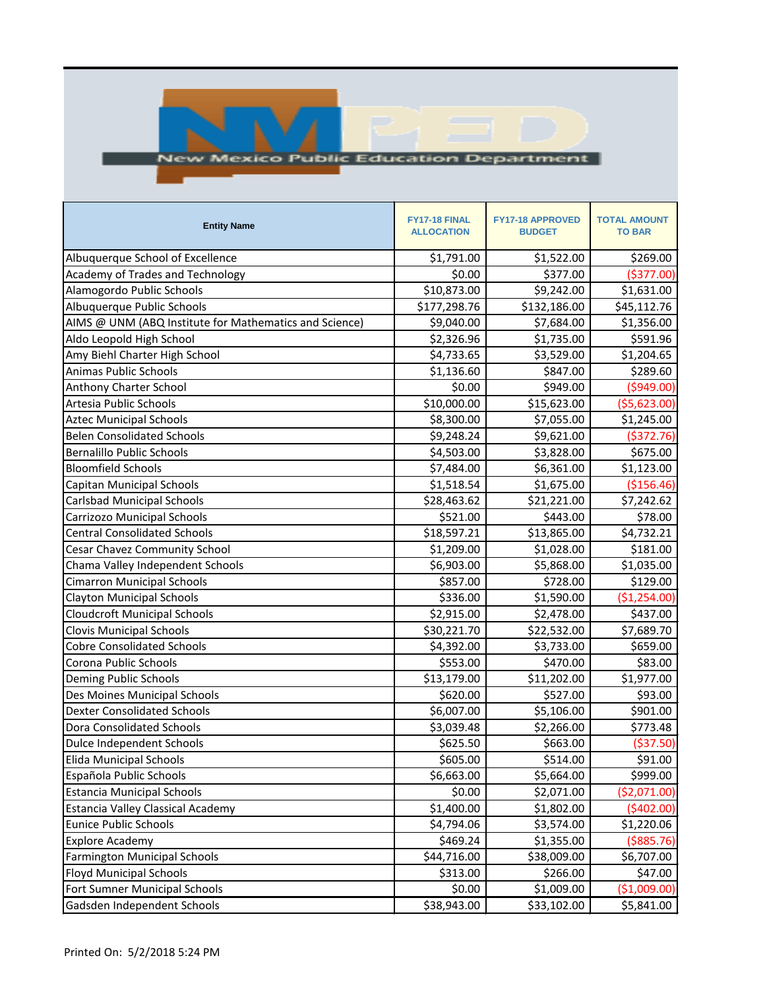

## **New Mexico Public Education Department**

| <b>Entity Name</b>                                     | FY17-18 FINAL<br><b>ALLOCATION</b> | <b>FY17-18 APPROVED</b><br><b>BUDGET</b> | <b>TOTAL AMOUNT</b><br><b>TO BAR</b> |
|--------------------------------------------------------|------------------------------------|------------------------------------------|--------------------------------------|
| Albuquerque School of Excellence                       | \$1,791.00                         | \$1,522.00                               | \$269.00                             |
| <b>Academy of Trades and Technology</b>                | \$0.00                             | \$377.00                                 | ( \$377.00)                          |
| Alamogordo Public Schools                              | \$10,873.00                        | \$9,242.00                               | \$1,631.00                           |
| Albuquerque Public Schools                             | \$177,298.76                       | \$132,186.00                             | \$45,112.76                          |
| AIMS @ UNM (ABQ Institute for Mathematics and Science) | \$9,040.00                         | \$7,684.00                               | \$1,356.00                           |
| Aldo Leopold High School                               | \$2,326.96                         | \$1,735.00                               | \$591.96                             |
| Amy Biehl Charter High School                          | \$4,733.65                         | \$3,529.00                               | \$1,204.65                           |
| <b>Animas Public Schools</b>                           | \$1,136.60                         | \$847.00                                 | \$289.60                             |
| Anthony Charter School                                 | \$0.00                             | \$949.00                                 | (5949.00)                            |
| Artesia Public Schools                                 | \$10,000.00                        | \$15,623.00                              | ( \$5,623.00)                        |
| <b>Aztec Municipal Schools</b>                         | \$8,300.00                         | \$7,055.00                               | \$1,245.00                           |
| <b>Belen Consolidated Schools</b>                      | \$9,248.24                         | \$9,621.00                               | ( \$372.76)                          |
| <b>Bernalillo Public Schools</b>                       | \$4,503.00                         | \$3,828.00                               | \$675.00                             |
| <b>Bloomfield Schools</b>                              | \$7,484.00                         | \$6,361.00                               | \$1,123.00                           |
| Capitan Municipal Schools                              | \$1,518.54                         | \$1,675.00                               | (\$156.46)                           |
| <b>Carlsbad Municipal Schools</b>                      | \$28,463.62                        | \$21,221.00                              | \$7,242.62                           |
| Carrizozo Municipal Schools                            | \$521.00                           | \$443.00                                 | \$78.00                              |
| <b>Central Consolidated Schools</b>                    | \$18,597.21                        | \$13,865.00                              | \$4,732.21                           |
| Cesar Chavez Community School                          | \$1,209.00                         | \$1,028.00                               | \$181.00                             |
| Chama Valley Independent Schools                       | \$6,903.00                         | \$5,868.00                               | \$1,035.00                           |
| <b>Cimarron Municipal Schools</b>                      | \$857.00                           | \$728.00                                 | \$129.00                             |
| <b>Clayton Municipal Schools</b>                       | \$336.00                           | \$1,590.00                               | ( \$1,254.00)                        |
| <b>Cloudcroft Municipal Schools</b>                    | \$2,915.00                         | \$2,478.00                               | \$437.00                             |
| <b>Clovis Municipal Schools</b>                        | \$30,221.70                        | \$22,532.00                              | \$7,689.70                           |
| <b>Cobre Consolidated Schools</b>                      | \$4,392.00                         | \$3,733.00                               | \$659.00                             |
| Corona Public Schools                                  | \$553.00                           | \$470.00                                 | \$83.00                              |
| <b>Deming Public Schools</b>                           | \$13,179.00                        | \$11,202.00                              | \$1,977.00                           |
| Des Moines Municipal Schools                           | \$620.00                           | \$527.00                                 | \$93.00                              |
| <b>Dexter Consolidated Schools</b>                     | \$6,007.00                         | \$5,106.00                               | \$901.00                             |
| <b>Dora Consolidated Schools</b>                       | \$3,039.48                         | \$2,266.00                               | \$773.48                             |
| <b>Dulce Independent Schools</b>                       | \$625.50                           | \$663.00                                 | ( \$37.50)                           |
| <b>Elida Municipal Schools</b>                         | \$605.00                           | \$514.00                                 | \$91.00                              |
| Española Public Schools                                | \$6,663.00                         | \$5,664.00                               | \$999.00                             |
| <b>Estancia Municipal Schools</b>                      | \$0.00                             | \$2,071.00                               | ( \$2,071.00)                        |
| <b>Estancia Valley Classical Academy</b>               | \$1,400.00                         | \$1,802.00                               | (5402.00)                            |
| <b>Eunice Public Schools</b>                           | \$4,794.06                         | \$3,574.00                               | \$1,220.06                           |
| <b>Explore Academy</b>                                 | \$469.24                           | \$1,355.00                               | ( \$885.76)                          |
| <b>Farmington Municipal Schools</b>                    | \$44,716.00                        | \$38,009.00                              | \$6,707.00                           |
| <b>Floyd Municipal Schools</b>                         | \$313.00                           | \$266.00                                 | \$47.00                              |
| Fort Sumner Municipal Schools                          | \$0.00                             | \$1,009.00                               | ( \$1,009.00)                        |
| Gadsden Independent Schools                            | \$38,943.00                        | \$33,102.00                              | \$5,841.00                           |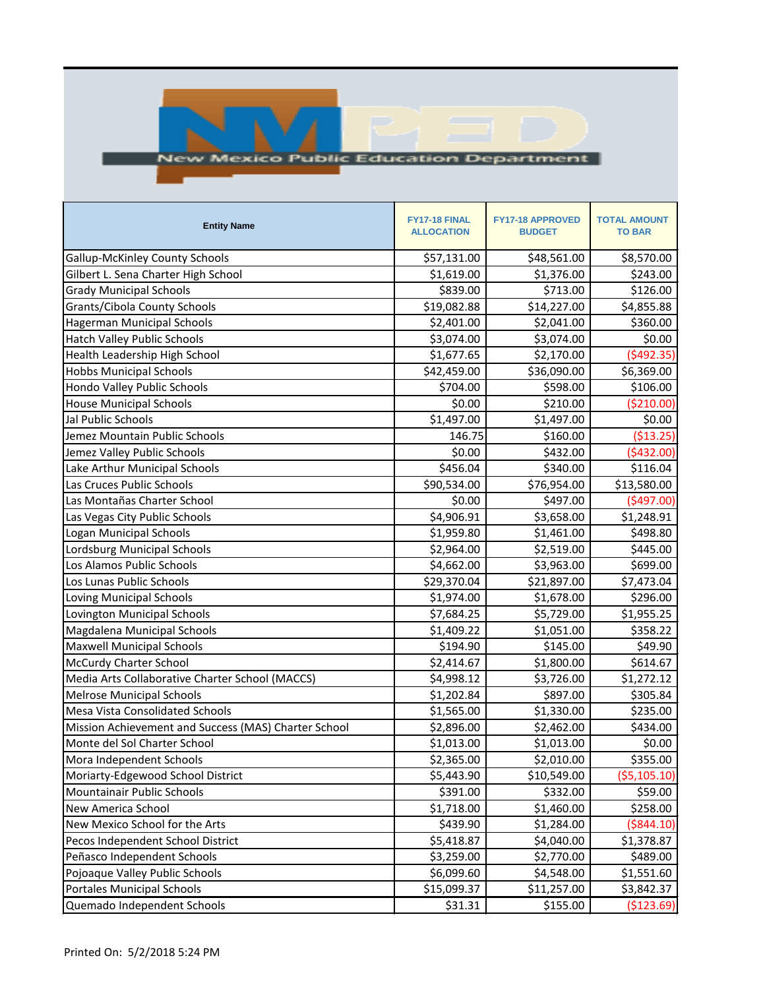

## **New Mexico Public Education Department**

| <b>Entity Name</b>                                   | FY17-18 FINAL<br><b>ALLOCATION</b> | <b>FY17-18 APPROVED</b><br><b>BUDGET</b> | <b>TOTAL AMOUNT</b><br><b>TO BAR</b> |
|------------------------------------------------------|------------------------------------|------------------------------------------|--------------------------------------|
| <b>Gallup-McKinley County Schools</b>                | \$57,131.00                        | \$48,561.00                              | \$8,570.00                           |
| Gilbert L. Sena Charter High School                  | \$1,619.00                         | \$1,376.00                               | \$243.00                             |
| <b>Grady Municipal Schools</b>                       | \$839.00                           | \$713.00                                 | \$126.00                             |
| Grants/Cibola County Schools                         | \$19,082.88                        | \$14,227.00                              | \$4,855.88                           |
| <b>Hagerman Municipal Schools</b>                    | \$2,401.00                         | \$2,041.00                               | \$360.00                             |
| <b>Hatch Valley Public Schools</b>                   | \$3,074.00                         | \$3,074.00                               | \$0.00                               |
| Health Leadership High School                        | \$1,677.65                         | \$2,170.00                               | (\$492.35)                           |
| <b>Hobbs Municipal Schools</b>                       | \$42,459.00                        | \$36,090.00                              | \$6,369.00                           |
| Hondo Valley Public Schools                          | \$704.00                           | \$598.00                                 | \$106.00                             |
| <b>House Municipal Schools</b>                       | \$0.00                             | \$210.00                                 | (\$210.00)                           |
| Jal Public Schools                                   | \$1,497.00                         | \$1,497.00                               | \$0.00                               |
| Jemez Mountain Public Schools                        | 146.75                             | \$160.00                                 | ( \$13.25)                           |
| Jemez Valley Public Schools                          | \$0.00                             | \$432.00                                 | ( \$432.00)                          |
| Lake Arthur Municipal Schools                        | \$456.04                           | \$340.00                                 | \$116.04                             |
| Las Cruces Public Schools                            | \$90,534.00                        | \$76,954.00                              | \$13,580.00                          |
| Las Montañas Charter School                          | \$0.00                             | \$497.00                                 | (5497.00)                            |
| Las Vegas City Public Schools                        | \$4,906.91                         | \$3,658.00                               | \$1,248.91                           |
| <b>Logan Municipal Schools</b>                       | \$1,959.80                         | \$1,461.00                               | \$498.80                             |
| Lordsburg Municipal Schools                          | \$2,964.00                         | \$2,519.00                               | \$445.00                             |
| Los Alamos Public Schools                            | \$4,662.00                         | \$3,963.00                               | \$699.00                             |
| Los Lunas Public Schools                             | \$29,370.04                        | \$21,897.00                              | \$7,473.04                           |
| <b>Loving Municipal Schools</b>                      | \$1,974.00                         | \$1,678.00                               | \$296.00                             |
| Lovington Municipal Schools                          | \$7,684.25                         | \$5,729.00                               | \$1,955.25                           |
| Magdalena Municipal Schools                          | \$1,409.22                         | \$1,051.00                               | \$358.22                             |
| <b>Maxwell Municipal Schools</b>                     | \$194.90                           | \$145.00                                 | \$49.90                              |
| <b>McCurdy Charter School</b>                        | \$2,414.67                         | \$1,800.00                               | \$614.67                             |
| Media Arts Collaborative Charter School (MACCS)      | \$4,998.12                         | \$3,726.00                               | \$1,272.12                           |
| <b>Melrose Municipal Schools</b>                     | \$1,202.84                         | \$897.00                                 | \$305.84                             |
| <b>Mesa Vista Consolidated Schools</b>               | \$1,565.00                         | \$1,330.00                               | \$235.00                             |
| Mission Achievement and Success (MAS) Charter School | \$2,896.00                         | \$2,462.00                               | \$434.00                             |
| Monte del Sol Charter School                         | \$1,013.00                         | \$1,013.00                               | \$0.00                               |
| Mora Independent Schools                             | \$2,365.00                         | \$2,010.00                               | \$355.00                             |
| Moriarty-Edgewood School District                    | \$5,443.90                         | \$10,549.00                              | (55, 105.10)                         |
| Mountainair Public Schools                           | \$391.00                           | \$332.00                                 | \$59.00                              |
| New America School                                   | \$1,718.00                         | \$1,460.00                               | \$258.00                             |
| New Mexico School for the Arts                       | \$439.90                           | \$1,284.00                               | ( \$844.10)                          |
| Pecos Independent School District                    | \$5,418.87                         | \$4,040.00                               | \$1,378.87                           |
| Peñasco Independent Schools                          | \$3,259.00                         | \$2,770.00                               | \$489.00                             |
| Pojoaque Valley Public Schools                       | \$6,099.60                         | \$4,548.00                               | \$1,551.60                           |
| <b>Portales Municipal Schools</b>                    | \$15,099.37                        | \$11,257.00                              | \$3,842.37                           |
| Quemado Independent Schools                          | \$31.31                            | \$155.00                                 | (\$123.69)                           |